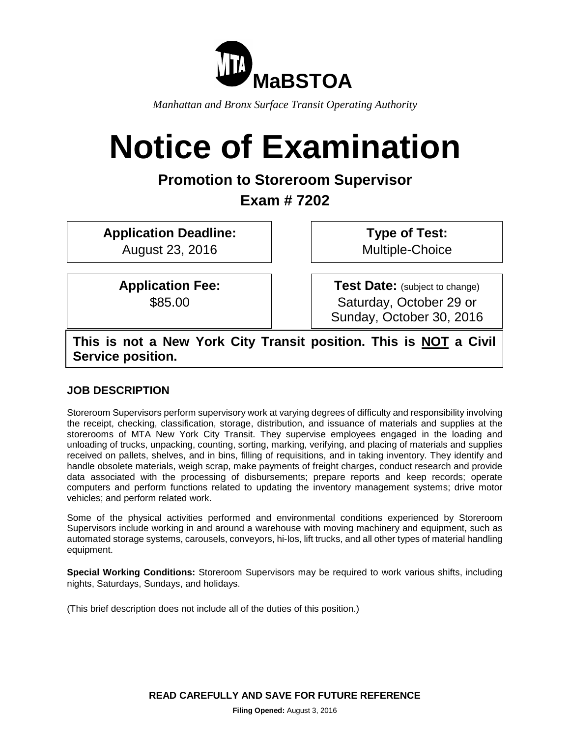

*Manhattan and Bronx Surface Transit Operating Authority*

# **Notice of Examination**

## **Promotion to Storeroom Supervisor**

# **Exam # 7202**

**Application Deadline:** August 23, 2016

> **Application Fee:**  \$85.00

**Type of Test:**  Multiple-Choice

**Test Date:** (subject to change) Saturday, October 29 or Sunday, October 30, 2016

**This is not a New York City Transit position. This is NOT a Civil Service position.**

## **JOB DESCRIPTION**

Storeroom Supervisors perform supervisory work at varying degrees of difficulty and responsibility involving the receipt, checking, classification, storage, distribution, and issuance of materials and supplies at the storerooms of MTA New York City Transit. They supervise employees engaged in the loading and unloading of trucks, unpacking, counting, sorting, marking, verifying, and placing of materials and supplies received on pallets, shelves, and in bins, filling of requisitions, and in taking inventory. They identify and handle obsolete materials, weigh scrap, make payments of freight charges, conduct research and provide data associated with the processing of disbursements; prepare reports and keep records; operate computers and perform functions related to updating the inventory management systems; drive motor vehicles; and perform related work.

Some of the physical activities performed and environmental conditions experienced by Storeroom Supervisors include working in and around a warehouse with moving machinery and equipment, such as automated storage systems, carousels, conveyors, hi-los, lift trucks, and all other types of material handling equipment.

**Special Working Conditions:** Storeroom Supervisors may be required to work various shifts, including nights, Saturdays, Sundays, and holidays.

(This brief description does not include all of the duties of this position.)

**READ CAREFULLY AND SAVE FOR FUTURE REFERENCE**

**Filing Opened:** August 3, 2016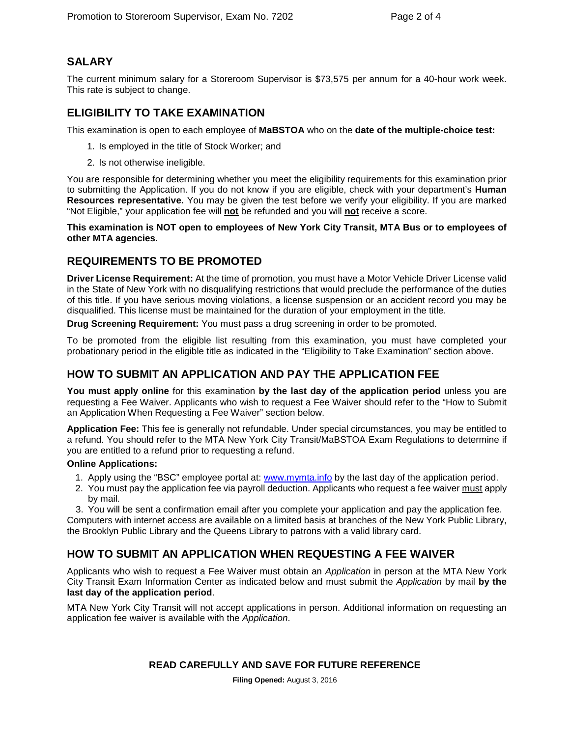## **SALARY**

The current minimum salary for a Storeroom Supervisor is \$73,575 per annum for a 40-hour work week. This rate is subject to change.

## **ELIGIBILITY TO TAKE EXAMINATION**

This examination is open to each employee of **MaBSTOA** who on the **date of the multiple-choice test:**

- 1. Is employed in the title of Stock Worker; and
- 2. Is not otherwise ineligible.

You are responsible for determining whether you meet the eligibility requirements for this examination prior to submitting the Application. If you do not know if you are eligible, check with your department's **Human Resources representative.** You may be given the test before we verify your eligibility. If you are marked "Not Eligible," your application fee will **not** be refunded and you will **not** receive a score.

**This examination is NOT open to employees of New York City Transit, MTA Bus or to employees of other MTA agencies.**

## **REQUIREMENTS TO BE PROMOTED**

**Driver License Requirement:** At the time of promotion, you must have a Motor Vehicle Driver License valid in the State of New York with no disqualifying restrictions that would preclude the performance of the duties of this title. If you have serious moving violations, a license suspension or an accident record you may be disqualified. This license must be maintained for the duration of your employment in the title.

**Drug Screening Requirement:** You must pass a drug screening in order to be promoted.

To be promoted from the eligible list resulting from this examination, you must have completed your probationary period in the eligible title as indicated in the "Eligibility to Take Examination" section above.

## **HOW TO SUBMIT AN APPLICATION AND PAY THE APPLICATION FEE**

**You must apply online** for this examination **by the last day of the application period** unless you are requesting a Fee Waiver. Applicants who wish to request a Fee Waiver should refer to the "How to Submit an Application When Requesting a Fee Waiver" section below.

**Application Fee:** This fee is generally not refundable. Under special circumstances, you may be entitled to a refund. You should refer to the MTA New York City Transit/MaBSTOA Exam Regulations to determine if you are entitled to a refund prior to requesting a refund.

#### **Online Applications:**

- 1. Apply using the "BSC" employee portal at: www.mymta.info by the last day of the application period.
- 2. You must pay the application fee via payroll deduction. Applicants who request a fee waiver must apply by mail.

3. You will be sent a confirmation email after you complete your application and pay the application fee. Computers with internet access are available on a limited basis at branches of the New York Public Library, the Brooklyn Public Library and the Queens Library to patrons with a valid library card.

## **HOW TO SUBMIT AN APPLICATION WHEN REQUESTING A FEE WAIVER**

Applicants who wish to request a Fee Waiver must obtain an *Application* in person at the MTA New York City Transit Exam Information Center as indicated below and must submit the *Application* by mail **by the last day of the application period**.

MTA New York City Transit will not accept applications in person. Additional information on requesting an application fee waiver is available with the *Application*.

#### **READ CAREFULLY AND SAVE FOR FUTURE REFERENCE**

**Filing Opened:** August 3, 2016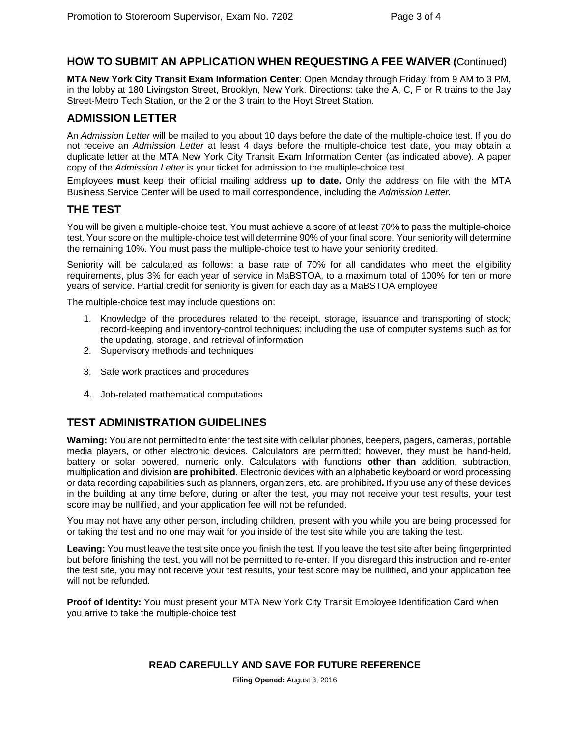## **HOW TO SUBMIT AN APPLICATION WHEN REQUESTING A FEE WAIVER (**Continued)

**MTA New York City Transit Exam Information Center**: Open Monday through Friday, from 9 AM to 3 PM, in the lobby at 180 Livingston Street, Brooklyn, New York. Directions: take the A, C, F or R trains to the Jay Street-Metro Tech Station, or the 2 or the 3 train to the Hoyt Street Station.

#### **ADMISSION LETTER**

An *Admission Letter* will be mailed to you about 10 days before the date of the multiple-choice test. If you do not receive an *Admission Letter* at least 4 days before the multiple-choice test date, you may obtain a duplicate letter at the MTA New York City Transit Exam Information Center (as indicated above). A paper copy of the *Admission Letter* is your ticket for admission to the multiple-choice test.

Employees **must** keep their official mailing address **up to date.** Only the address on file with the MTA Business Service Center will be used to mail correspondence, including the *Admission Letter.*

### **THE TEST**

You will be given a multiple-choice test. You must achieve a score of at least 70% to pass the multiple-choice test. Your score on the multiple-choice test will determine 90% of your final score. Your seniority will determine the remaining 10%. You must pass the multiple-choice test to have your seniority credited.

Seniority will be calculated as follows: a base rate of 70% for all candidates who meet the eligibility requirements, plus 3% for each year of service in MaBSTOA, to a maximum total of 100% for ten or more years of service. Partial credit for seniority is given for each day as a MaBSTOA employee

The multiple-choice test may include questions on:

- 1. Knowledge of the procedures related to the receipt, storage, issuance and transporting of stock; record-keeping and inventory-control techniques; including the use of computer systems such as for the updating, storage, and retrieval of information
- 2. Supervisory methods and techniques
- 3. Safe work practices and procedures
- 4. Job-related mathematical computations

## **TEST ADMINISTRATION GUIDELINES**

**Warning:** You are not permitted to enter the test site with cellular phones, beepers, pagers, cameras, portable media players, or other electronic devices. Calculators are permitted; however, they must be hand-held, battery or solar powered, numeric only. Calculators with functions **other than** addition, subtraction, multiplication and division **are prohibited**. Electronic devices with an alphabetic keyboard or word processing or data recording capabilities such as planners, organizers, etc. are prohibited**.** If you use any of these devices in the building at any time before, during or after the test, you may not receive your test results, your test score may be nullified, and your application fee will not be refunded.

You may not have any other person, including children, present with you while you are being processed for or taking the test and no one may wait for you inside of the test site while you are taking the test.

**Leaving:** You must leave the test site once you finish the test. If you leave the test site after being fingerprinted but before finishing the test, you will not be permitted to re-enter. If you disregard this instruction and re-enter the test site, you may not receive your test results, your test score may be nullified, and your application fee will not be refunded.

**Proof of Identity:** You must present your MTA New York City Transit Employee Identification Card when you arrive to take the multiple-choice test

#### **READ CAREFULLY AND SAVE FOR FUTURE REFERENCE**

**Filing Opened:** August 3, 2016